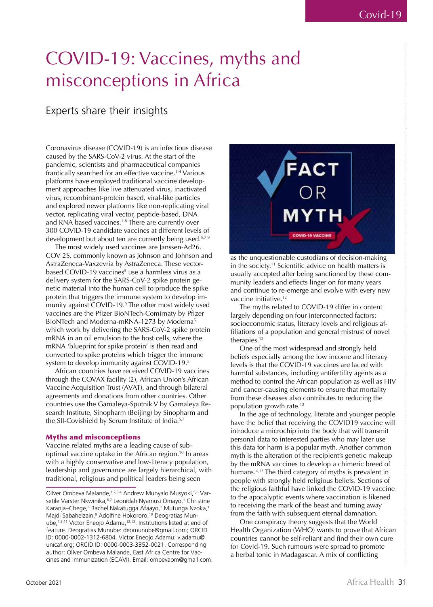# COVID-19: Vaccines, myths and misconceptions in Africa

# Experts share their insights

Coronavirus disease (COVID-19) is an infectious disease caused by the SARS-CoV-2 virus. At the start of the pandemic, scientists and pharmaceutical companies frantically searched for an effective vaccine.1-4 Various platforms have employed traditional vaccine development approaches like live attenuated virus, inactivated virus, recombinant-protein based, viral-like particles and explored newer platforms like non-replicating viral vector, replicating viral vector, peptide-based, DNA and RNA based vaccines.<sup>1-8</sup> There are currently over 300 COVID-19 candidate vaccines at different levels of development but about ten are currently being used.<sup>5,7,9</sup>

The most widely used vaccines are Janssen-Ad26. COV 2S, commonly known as Johnson and Johnson and AstraZeneca-Vaxzevria by AstraZeneca. These vectorbased COVID-19 vaccines<sup>5</sup> use a harmless virus as a delivery system for the SARS-CoV-2 spike protein genetic material into the human cell to produce the spike protein that triggers the immune system to develop immunity against COVID-19.<sup>9</sup> The other most widely used vaccines are the Pfizer BioNTech-Comirnaty by Pfizer BioNTech and Moderna-mRNA-1273 by Moderna<sup>5</sup> which work by delivering the SARS-CoV-2 spike protein mRNA in an oil emulsion to the host cells, where the mRNA 'blueprint for spike protein' is then read and converted to spike proteins which trigger the immune system to develop immunity against COVID-19.<sup>5</sup>

African countries have received COVID-19 vaccines through the COVAX facility (2), African Union's African Vaccine Acquisition Trust (AVAT), and through bilateral agreements and donations from other countries. Other countries use the Gamaleya-Sputnik V by Gamaleya Research Institute, Sinopharm (Beijing) by Sinopharm and the SII-Covishield by Serum Institute of India.<sup>5,7</sup>

#### Myths and misconceptions

Vaccine related myths are a leading cause of suboptimal vaccine uptake in the African region.10 In areas with a highly conservative and low-literacy population, leadership and governance are largely hierarchical, with traditional, religious and political leaders being seen



as the unquestionable custodians of decision-making in the society.<sup>11</sup> Scientific advice on health matters is usually accepted after being sanctioned by these community leaders and effects linger on for many years and continue to re-emerge and evolve with every new vaccine initiative.12

The myths related to COVID-19 differ in content largely depending on four interconnected factors: socioeconomic status, literacy levels and religious affiliations of a population and general mistrust of novel therapies.<sup>12</sup>

One of the most widespread and strongly held beliefs especially among the low income and literacy levels is that the COVID-19 vaccines are laced with harmful substances, including antifertility agents as a method to control the African population as well as HIV and cancer-causing elements to ensure that mortality from these diseases also contributes to reducing the population growth rate.<sup>12</sup>

In the age of technology, literate and younger people have the belief that receiving the COVID19 vaccine will introduce a microchip into the body that will transmit personal data to interested parties who may later use this data for harm is a popular myth. Another common myth is the alteration of the recipient's genetic makeup by the mRNA vaccines to develop a chimeric breed of humans.4,12 The third category of myths is prevalent in people with strongly held religious beliefs. Sections of the religious faithful have linked the COVID-19 vaccine to the apocalyptic events where vaccination is likened to receiving the mark of the beast and turning away from the faith with subsequent eternal damnation.

One conspiracy theory suggests that the World Health Organization (WHO) wants to prove that African countries cannot be self-reliant and find their own cure for Covid-19. Such rumours were spread to promote a herbal tonic in Madagascar. A mix of conflicting

Oliver Ombeva Malande, 1,2,3,4 Andrew Munyalo Musyoki, 5,6 Varsetile Varster Nkwinika,<sup>6,7</sup> Leonidah Nyamusi Omayo,<sup>1</sup> Christine Karanja–Chege,<sup>8</sup> Rachel Nakatugga Afaayo,<sup>1</sup> Mutunga Nzoka,<sup>1</sup> Majdi Sabahelzain,<sup>9</sup> Adolfine Hokororo,<sup>10</sup> Deogratias Munube,1,3,11 Victor Eneojo Adamu,12,13. Institutions listed at end of feature. Deogratias Munube: deomunube@gmail.com; ORCID ID: 0000-0002-1312-6804. Victor Eneojo Adamu: v.adamu@ unicaf.org; ORCID ID: 0000-0003-3352-0021. Corresponding author: Oliver Ombeva Malande, East Africa Centre for Vaccines and Immunization (ECAVI). Email: ombevaom@gmail.com.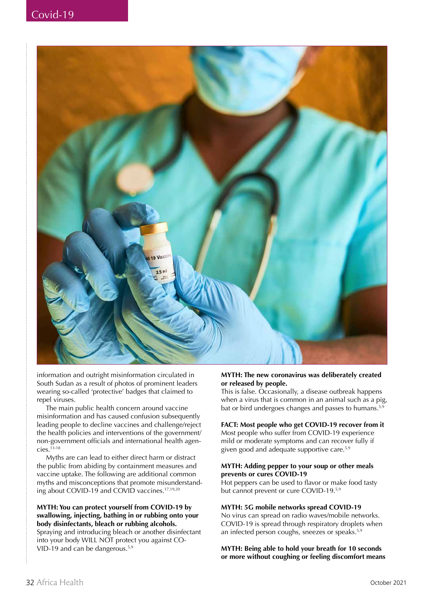

information and outright misinformation circulated in South Sudan as a result of photos of prominent leaders wearing so-called 'protective' badges that claimed to repel viruses.

The main public health concern around vaccine misinformation and has caused confusion subsequently leading people to decline vaccines and challenge/reject the health policies and interventions of the government/ non-government officials and international health agen $cies.^{\overline{13}\text{-}18}$ 

Myths are can lead to either direct harm or distract the public from abiding by containment measures and vaccine uptake. The following are additional common myths and misconceptions that promote misunderstanding about COVID-19 and COVID vaccines.17,19,20

#### **MYTH: You can protect yourself from COVID-19 by swallowing, injecting, bathing in or rubbing onto your body disinfectants, bleach or rubbing alcohols.**

Spraying and introducing bleach or another disinfectant into your body WILL NOT protect you against CO-VID-19 and can be dangerous.5,9

#### **MYTH: The new coronavirus was deliberately created or released by people.**

This is false. Occasionally, a disease outbreak happens when a virus that is common in an animal such as a pig, bat or bird undergoes changes and passes to humans.<sup>5,9</sup>

#### **FACT: Most people who get COVID-19 recover from it**

Most people who suffer from COVID-19 experience mild or moderate symptoms and can recover fully if given good and adequate supportive care.5,9

#### **MYTH: Adding pepper to your soup or other meals prevents or cures COVID-19**

Hot peppers can be used to flavor or make food tasty but cannot prevent or cure COVID-19.5,9

#### **MYTH: 5G mobile networks spread COVID-19**

No virus can spread on radio waves/mobile networks. COVID-19 is spread through respiratory droplets when an infected person coughs, sneezes or speaks.5,9

**MYTH: Being able to hold your breath for 10 seconds or more without coughing or feeling discomfort means**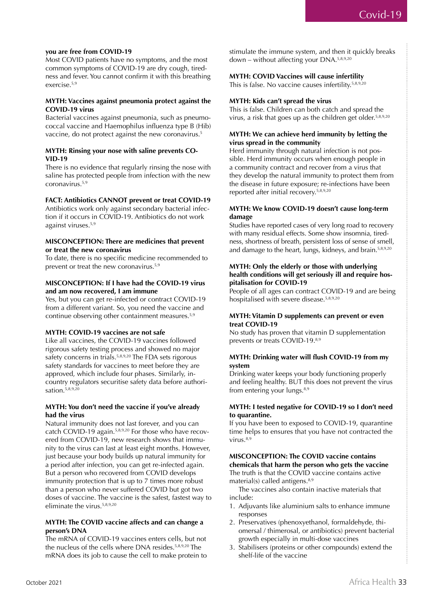#### **you are free from COVID-19**

Most COVID patients have no symptoms, and the most common symptoms of COVID-19 are dry cough, tiredness and fever. You cannot confirm it with this breathing exercise.5,9

#### **MYTH: Vaccines against pneumonia protect against the COVID-19 virus**

Bacterial vaccines against pneumonia, such as pneumococcal vaccine and Haemophilus influenza type B (Hib) vaccine, do not protect against the new coronavirus.<sup>5</sup>

#### **MYTH: Rinsing your nose with saline prevents CO-VID-19**

There is no evidence that regularly rinsing the nose with saline has protected people from infection with the new coronavirus.5,9

#### **FACT: Antibiotics CANNOT prevent or treat COVID-19**

Antibiotics work only against secondary bacterial infection if it occurs in COVID-19. Antibiotics do not work against viruses.5,9

#### **MISCONCEPTION: There are medicines that prevent or treat the new coronavirus**

To date, there is no specific medicine recommended to prevent or treat the new coronavirus.5,9

#### **MISCONCEPTION: If I have had the COVID-19 virus and am now recovered, I am immune**

Yes, but you can get re-infected or contract COVID-19 from a different variant. So, you need the vaccine and continue observing other containment measures.5,9

#### **MYTH: COVID-19 vaccines are not safe**

Like all vaccines, the COVID-19 vaccines followed rigorous safety testing process and showed no major safety concerns in trials.<sup>5,8,9,20</sup> The FDA sets rigorous safety standards for vaccines to meet before they are approved, which include four phases. Similarly, incountry regulators securitise safety data before authorisation.<sup>5,8,9,20</sup>

#### **MYTH: You don't need the vaccine if you've already had the virus**

Natural immunity does not last forever, and you can catch COVID-19 again.5,8,9,20 For those who have recovered from COVID-19, new research shows that immunity to the virus can last at least eight months. However, just because your body builds up natural immunity for a period after infection, you can get re-infected again. But a person who recovered from COVID develops immunity protection that is up to 7 times more robust than a person who never suffered COVID but got two doses of vaccine. The vaccine is the safest, fastest way to eliminate the virus.5,8,9,20

#### **MYTH: The COVID vaccine affects and can change a person's DNA**

The mRNA of COVID-19 vaccines enters cells, but not the nucleus of the cells where DNA resides.<sup>5,8,9,20</sup> The mRNA does its job to cause the cell to make protein to stimulate the immune system, and then it quickly breaks down – without affecting your DNA.5,8,9,20

#### **MYTH: COVID Vaccines will cause infertility**

This is false. No vaccine causes infertility.<sup>5,8,9,20</sup>

#### **MYTH: Kids can't spread the virus**

This is false. Children can both catch and spread the virus, a risk that goes up as the children get older.<sup>5,8,9,20</sup>

#### **MYTH: We can achieve herd immunity by letting the virus spread in the community**

Herd immunity through natural infection is not possible. Herd immunity occurs when enough people in a community contract and recover from a virus that they develop the natural immunity to protect them from the disease in future exposure; re-infections have been reported after initial recovery.5,8,9,20

#### **MYTH: We know COVID-19 doesn't cause long-term damage**

Studies have reported cases of very long road to recovery with many residual effects. Some show insomnia, tiredness, shortness of breath, persistent loss of sense of smell, and damage to the heart, lungs, kidneys, and brain.<sup>5,8,9,20</sup>

#### **MYTH: Only the elderly or those with underlying health conditions will get seriously ill and require hospitalisation for COVID-19**

People of all ages can contract COVID-19 and are being hospitalised with severe disease.<sup>5,8,9,20</sup>

#### **MYTH: Vitamin D supplements can prevent or even treat COVID-19**

No study has proven that vitamin D supplementation prevents or treats COVID-19.8,9

### **MYTH: Drinking water will flush COVID-19 from my system**

Drinking water keeps your body functioning properly and feeling healthy. BUT this does not prevent the virus from entering your lungs.<sup>8,9</sup>

#### **MYTH: I tested negative for COVID-19 so I don't need to quarantine.**

If you have been to exposed to COVID-19, quarantine time helps to ensures that you have not contracted the virus. $8,9$ 

## **MISCONCEPTION: The COVID vaccine contains chemicals that harm the person who gets the vaccine**

The truth is that the COVID vaccine contains active material(s) called antigens. $8,9$ 

The vaccines also contain inactive materials that include:

- 1. Adjuvants like aluminium salts to enhance immune responses
- 2. Preservatives (phenoxyethanol, formaldehyde, thiomersal / thimerosal, or antibiotics) prevent bacterial growth especially in multi-dose vaccines
- 3. Stabilisers (proteins or other compounds) extend the shelf-life of the vaccine